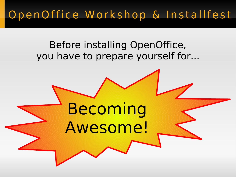### OpenOffice Workshop & Installfest

#### Before installing OpenOffice, you have to prepare yourself for...

# Becoming Awesome!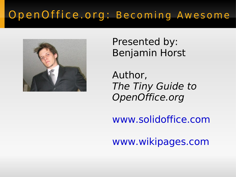#### OpenOffice.org: Becoming Awesome



Presented by: Benjamin Horst

Author, The Tiny Guide to OpenOffice.org

[www.solidoffice.com](http://www.solidoffice.com/)

[www.wikipages.com](http://www.wikipages.com/)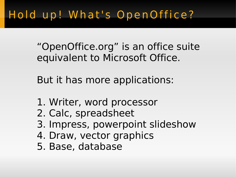# Hold up! What's OpenOffice?

"OpenOffice.org" is an office suite equivalent to Microsoft Office.

But it has more applications:

- 1. Writer, word processor
- 2. Calc, spreadsheet
- 3. Impress, powerpoint slideshow
- 4. Draw, vector graphics
- 5. Base, database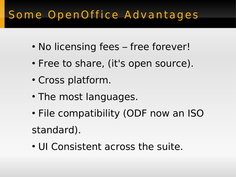# Some OpenOffice Advantages

- No licensing fees free forever!
- Free to share, (it's open source).
- Cross platform.
- The most languages.
- File compatibility (ODF now an ISO standard).
- UI Consistent across the suite.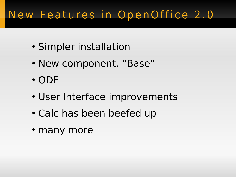# New Features in OpenOffice 2.0

- Simpler installation
- New component, "Base"
- ODF
- User Interface improvements
- Calc has been beefed up
- many more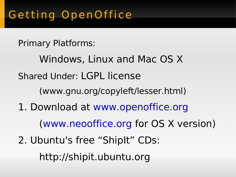Primary Platforms:

Windows, Linux and Mac OS X Shared Under: LGPL license (www.gnu.org/copyleft/lesser.html) 1. Download at [www.openoffice.org](http://www.openoffice.org/) [\(www.neooffice.org](http://www.neooffice.org/) for OS X version) 2. Ubuntu's free "ShipIt" CDs: http://shipit.ubuntu.org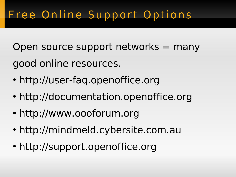# Free Online Support Options

Open source support networks = many good online resources.

- http://user-faq.openoffice.org
- http://documentation.openoffice.org
- http://www.oooforum.org
- http://mindmeld.cybersite.com.au
- http://support.openoffice.org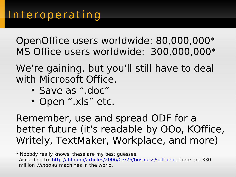OpenOffice users worldwide: 80,000,000\* MS Office users worldwide: 300,000,000\*

We're gaining, but you'll still have to deal with Microsoft Office.

- Save as ".doc"
- Open ".xls" etc.

Remember, use and spread ODF for a better future (it's readable by OOo, KOffice, Writely, TextMaker, Workplace, and more)

\* Nobody really knows, these are my best guesses. According to: <http://iht.com/articles/2006/03/26/business/soft.php>, there are 330 million Windows machines in the world.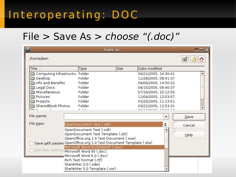### Interoperating: DOC

#### File > Save As > choose "(.doc)"

|                                                                   |                                                  | Save as |                      | $ \square \square \times$ |
|-------------------------------------------------------------------|--------------------------------------------------|---------|----------------------|---------------------------|
| /home/ben                                                         |                                                  |         |                      | 三                         |
| Title                                                             | Type                                             | Size    | Date modified        |                           |
| Computing Infrastructu                                            | Folder                                           |         | 04/21/2005, 14:30:41 |                           |
| <b>Desktop</b>                                                    | Folder                                           |         | 11/28/2005, 08:41:37 |                           |
| Info and Benefits                                                 | Folder                                           |         | 04/06/2005, 14:50:22 |                           |
| Legal Docs                                                        | Folder                                           |         | 04/15/2005, 09:40:37 |                           |
| Miscellaneous                                                     | Folder                                           |         | 07/16/2005, 10:12:56 |                           |
| Pictures                                                          | Folder                                           |         | 11/09/2005, 12:03:57 |                           |
| Projects                                                          | Folder                                           |         | 03/25/2005, 11:13:51 |                           |
| SharedBook Photos                                                 | Folder                                           |         | 03/21/2005, 12:53:31 |                           |
|                                                                   | $-11$                                            |         |                      |                           |
| File name:                                                        |                                                  |         | ▼                    | Save                      |
| File type:                                                        | OpenDocument Text (.odt)                         |         | ÷                    | Cancel                    |
|                                                                   | OpenDocument Text (.odt)                         |         |                      |                           |
| OpenDocument Text Template (.ott)                                 |                                                  |         |                      | $He$ lp                   |
| OpenOffice.org 1.0 Text Document (.sxw)                           |                                                  |         |                      |                           |
| Save with passwo OpenOffice.org 1.0 Text Document Template (.stw) |                                                  |         |                      |                           |
|                                                                   | Microsoft Word 97/2000/XP (.doc)                 |         |                      |                           |
| Edit filter settings Microsoft Word 95 (.doc)                     |                                                  |         |                      |                           |
|                                                                   | Microsoft Word 6.0 (.doc)                        |         |                      |                           |
|                                                                   | Rich Text Format (.rtf)<br>StarWriter 5.0 (.sdw) |         |                      |                           |
|                                                                   | StarWriter 5.0 Template (.vor)                   |         |                      |                           |
|                                                                   |                                                  |         |                      |                           |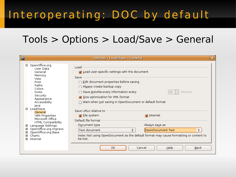# Interoperating: DOC by default

#### Tools > Options > Load/Save > General

| $\blacksquare$<br><b>Options - Load/Save - General</b><br>×                                                                                                                                                                                                                                                                                                     |                                                                                                                                                                                                                                                                                                                                                                                                                                                                                                                                                                                                                   |  |  |  |
|-----------------------------------------------------------------------------------------------------------------------------------------------------------------------------------------------------------------------------------------------------------------------------------------------------------------------------------------------------------------|-------------------------------------------------------------------------------------------------------------------------------------------------------------------------------------------------------------------------------------------------------------------------------------------------------------------------------------------------------------------------------------------------------------------------------------------------------------------------------------------------------------------------------------------------------------------------------------------------------------------|--|--|--|
| 日 - OpenOffice.org<br>User Data<br>General<br>Memory<br>View<br>Print<br>Paths<br>Colors<br>Fonts<br>Security<br>Appearance<br>Accessibility<br>∤a∨a<br>-Load/Save<br>O-<br>General<br>VBA Properties<br>Microsoft Office<br>HTML Compatibility<br>Language Settings<br>田<br>OpenOffice.org Impress<br>田<br>OpenOffice org Base<br>田<br>Charts<br>田<br>⊣nternet | Load<br>☑ Load user-specific settings with the document<br>Save<br>$\Box$ <u>E</u> dit document properties before saving<br>∩ Al <u>w</u> ays create backup copy<br>⊃ Save <u>A</u> utoRecovery information every<br>Minutes<br>15<br>Size optimization for XML format<br>∏ Warn when <u>n</u> ot saving in OpenDocument or default format<br>Save URLs relative to<br>M Eile system<br>M Internet<br>Default file format<br>Always save as<br>Document type<br>Text document<br>OpenDocument Text<br>÷<br>÷<br>Note: Not using OpenDocument as the default format may cause formatting or content to<br>be lost. |  |  |  |
|                                                                                                                                                                                                                                                                                                                                                                 | Cancel<br>Help<br>Back<br>OK                                                                                                                                                                                                                                                                                                                                                                                                                                                                                                                                                                                      |  |  |  |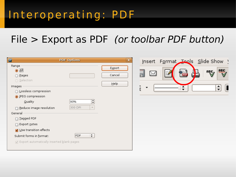### Interoperating: PDF

#### File > Export as PDF (or toolbar PDF button)

| $\blacksquare$                                                                                                                                                                                                                                                                                                                              | <b>PDF Options</b>                                          | $\mathbf{x}$             | <u>i</u> nsert | Format Teols                                | $S$ lide Show $\rightarrow$                                              |
|---------------------------------------------------------------------------------------------------------------------------------------------------------------------------------------------------------------------------------------------------------------------------------------------------------------------------------------------|-------------------------------------------------------------|--------------------------|----------------|---------------------------------------------|--------------------------------------------------------------------------|
| Range<br>$\odot$ $\overline{\Delta}$ $\parallel$<br>◯ Pages<br>◯ Selection<br>Images<br>◯ Lossless compression<br>O IPEG compression<br>Quality<br>$\Box$ Reduce image resolution<br>General<br>□ Iagged PDF<br>Export notes<br>◘ Use transition effects<br>Submit forms in format:<br>$\sqrt{ }$ Export automatically inserted blank pages | ÷<br>90%<br>$\overline{\phantom{a}}$<br>300 DPI<br>÷<br>FDF | Export<br>Cancel<br>Help | ) d.<br>Ċ      | 恤<br>马<br>Ċ<br>۸<br>$\overline{\mathbf{v}}$ | <b>HEL</b><br>ABC,<br><b>bud</b><br><b>Section</b><br>$\frac{4}{7}$<br>L |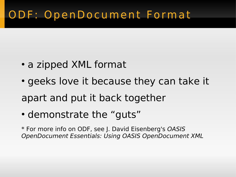### ODF : OpenDocument Format

- a zipped XML format
- geeks love it because they can take it apart and put it back together
- demonstrate the "guts"

\* For more info on ODF, see J. David Eisenberg's OASIS OpenDocument Essentials: Using OASIS OpenDocument XML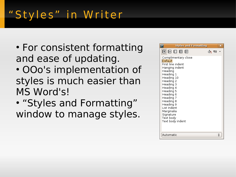# "Styles" in Writer

• For consistent formatting and ease of updating. • OOo's implementation of styles is much easier than

MS Word's!

• "Styles and Formatting" window to manage styles.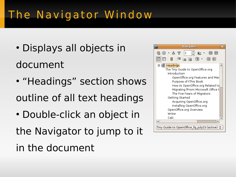# The Navigator Window

- Displays all objects in document
- "Headings" section shows outline of all text headings
- Double-click an object in the Navigator to jump to it in the document

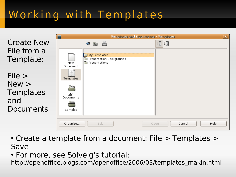# Working with Templates

|                                                                | 囩<br>Templates and Documents - Templates                                     |                        | $\boxed{\mathbf{x}}$ |
|----------------------------------------------------------------|------------------------------------------------------------------------------|------------------------|----------------------|
| <b>Create New</b>                                              | $\blacksquare$<br>⇔                                                          | <b>記</b>               |                      |
| File from a<br>Template:                                       | My Templates<br>Presentation Backgrounds<br>Presentations<br>New<br>Document |                        |                      |
| File ><br>New ><br><b>Templates</b><br>and<br><b>Documents</b> | Templates<br><u>М</u> у<br>Documents<br>Samples                              |                        |                      |
|                                                                | Edit<br>Organize                                                             | Cancel<br>Help<br>Open |                      |

- $\cdot$  Create a template from a document: File  $>$  Templates  $>$ Save
- For more, see Solveig's tutorial:

http://openoffice.blogs.com/openoffice/2006/03/templates\_makin.html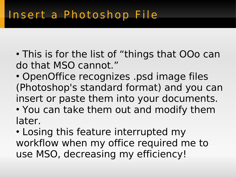- This is for the list of "things that OOo can do that MSO cannot."
- OpenOffice recognizes .psd image files (Photoshop's standard format) and you can insert or paste them into your documents.
- You can take them out and modify them later.
- Losing this feature interrupted my workflow when my office required me to use MSO, decreasing my efficiency!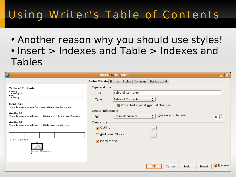# Using Writer's Table of Contents

• Another reason why you should use styles! • Insert > Indexes and Table > Indexes and Tables

| $\blacksquare$           |                                                                                                 | <b>Insert Index/Table</b>                                | -             |
|--------------------------|-------------------------------------------------------------------------------------------------|----------------------------------------------------------|---------------|
|                          |                                                                                                 | Index/Table Entries Styles Columns Background            |               |
|                          | <b>Table of Contents</b>                                                                        | Type and title                                           |               |
|                          |                                                                                                 | Table of Contents<br>Title                               |               |
|                          |                                                                                                 | Table of Contents<br>÷<br>Type                           |               |
|                          | <b>Heading 1</b><br>This is the content from the first chapter. This is a user directory entry. | ☑ Protected against manual changes                       |               |
|                          | <b>Heading 1.1</b>                                                                              | Create index/table                                       |               |
|                          | This is the content from chapter 1.1. This is the entry for the table of contents.              | Evaluate up to level<br>Entire document<br>$\div$<br>for | $ 10 \rangle$ |
|                          | Heading 1.2<br>This is the content from chapter 1.2. This keyword is a main entry.              | Create from                                              |               |
|                          |                                                                                                 | Ø Outline<br>$100 - 100$                                 |               |
|                          |                                                                                                 | □ Additional Styles<br>1.1.1                             |               |
| Table 1. This is table 1 |                                                                                                 | M Index marks                                            |               |
|                          |                                                                                                 |                                                          |               |
|                          | Image 1. This is image                                                                          |                                                          |               |
|                          |                                                                                                 |                                                          |               |
|                          |                                                                                                 | ОΚ<br>Help<br>Reset<br>Cancel                            | Preview       |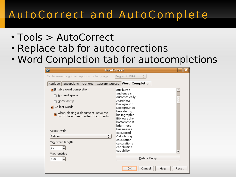### AutoCorrect and AutoComplete

- Tools > AutoCorrect
- Replace tab for autocorrections
- Word Completion tab for autocompletions

| $\overline{P}$<br><b>AutoCorrect</b>                                                                                                                                                                                                                   |                                                                                                                                                                                                                                                                          | x     |
|--------------------------------------------------------------------------------------------------------------------------------------------------------------------------------------------------------------------------------------------------------|--------------------------------------------------------------------------------------------------------------------------------------------------------------------------------------------------------------------------------------------------------------------------|-------|
| Replacements and exceptions for language:                                                                                                                                                                                                              | English (USA)<br>$\div$                                                                                                                                                                                                                                                  |       |
| Replace<br>Exceptions<br>Options                                                                                                                                                                                                                       | Custom Quotes Word Completion                                                                                                                                                                                                                                            |       |
| <b>Enable word completion</b><br>Append space<br>Show as tip<br>M Collect words<br>When closing a document, save the list for later use in other documents.<br>Accept with<br>÷<br>Return<br>Mi <u>n</u> . word length<br>$\div$<br>10<br>Max. entries | attributes<br>audience's<br>automatically<br>AutoPilots<br>Background<br>Backgrounds<br>bewildering<br>bibliographic<br>Bibliography<br>bottommost<br>brightness<br>businesses<br>calculated<br>Calculating<br>calculation<br>calculations<br>capabilities<br>capability | ▼     |
| ÷<br>500                                                                                                                                                                                                                                               | Delete Entry                                                                                                                                                                                                                                                             |       |
|                                                                                                                                                                                                                                                        | ОΚ<br>Cancel<br>Help                                                                                                                                                                                                                                                     | Reset |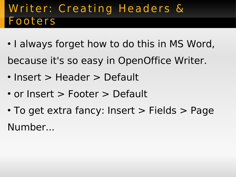### Writer: Creating Headers & Footers

- I always forget how to do this in MS Word, because it's so easy in OpenOffice Writer.
- Insert > Header > Default
- or Insert > Footer > Default
- To get extra fancy: Insert > Fields > Page Number...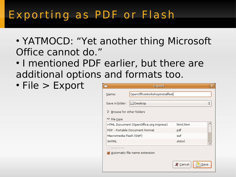### Exporting as PDF or Flash

- YATMOCD: "Yet another thing Microsoft Office cannot do."
- I mentioned PDF earlier, but there are additional options and formats too.
- File > Export

|                                           | <b>Export</b>                                                            |          | ×                             |
|-------------------------------------------|--------------------------------------------------------------------------|----------|-------------------------------|
| Name:                                     | OpenOfficeWorkshopInstallfest                                            |          |                               |
| Save in folder:                           | Desktop                                                                  |          | ▴<br>$\overline{\phantom{a}}$ |
| $\triangleright$ Browse for other folders |                                                                          |          |                               |
| $\triangledown$ File type                 |                                                                          |          |                               |
|                                           | HTML Document (OpenOffice.org Impress)                                   | html,htm |                               |
|                                           | PDF - Portable Document Format<br>Macromedia Flash (SWF)<br><b>XHTML</b> |          |                               |
|                                           |                                                                          |          |                               |
|                                           |                                                                          |          |                               |
| Selection                                 |                                                                          |          |                               |
|                                           | ☑ Automatic file name extension                                          |          |                               |
|                                           |                                                                          | X Cancel | Save                          |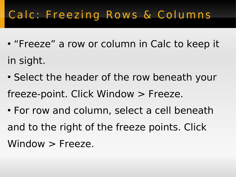# Calc: Freezing Rows & Columns

- "Freeze" a row or column in Calc to keep it in sight.
- Select the header of the row beneath your freeze-point. Click Window > Freeze.
- For row and column, select a cell beneath and to the right of the freeze points. Click Window > Freeze.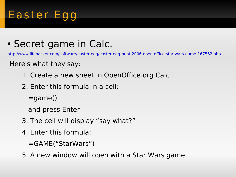# Easter Egg

#### • Secret game in Calc.

<http://www.lifehacker.com/software/easter-egg/easter-egg-hunt-2006-open-office-star-wars-game-167562.php>

Here's what they say:

- 1. Create a new sheet in OpenOffice.org Calc
- 2. Enter this formula in a cell:

 $=$ game $()$ 

and press Enter

- 3. The cell will display "say what?"
- 4. Enter this formula:

=GAME("StarWars")

5. A new window will open with a Star Wars game.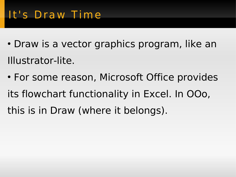### It's Draw Time

- Draw is a vector graphics program, like an Illustrator-lite.
- For some reason, Microsoft Office provides its flowchart functionality in Excel. In OOo, this is in Draw (where it belongs).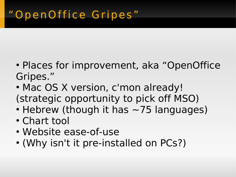- Places for improvement, aka "OpenOffice Gripes."
- Mac OS X version, c'mon already! (strategic opportunity to pick off MSO)
- Hebrew (though it has  $\sim$  75 languages)
- Chart tool
- Website ease-of-use
- (Why isn't it pre-installed on PCs?)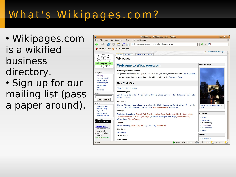# What's Wikipages.com?

- Wikipages.com is a wikified business directory.
- Sign up for our mailing list (pass a paper around).

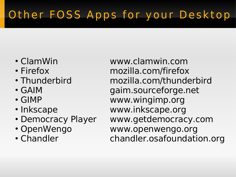# Other FOSS Apps for your Desktop

- 
- 
- 
- 
- 
- 
- 
- 
- 

• ClamWin www.clamwin.com • Firefox mozilla.com/firefox • Thunderbird mozilla.com/thunderbird • GAIM gaim.sourceforge.net • GIMP www.wingimp.org • Inkscape www.inkscape.org • Democracy Player www.getdemocracy.com • OpenWengo www.openwengo.org • Chandler chandler.osafoundation.org